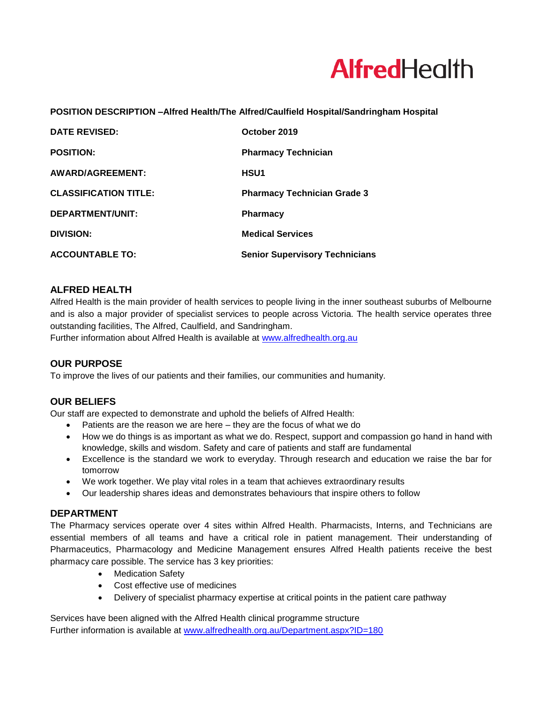

# **POSITION DESCRIPTION –Alfred Health/The Alfred/Caulfield Hospital/Sandringham Hospital**

| <b>DATE REVISED:</b>         | October 2019                          |
|------------------------------|---------------------------------------|
| <b>POSITION:</b>             | <b>Pharmacy Technician</b>            |
| AWARD/AGREEMENT:             | <b>HSU1</b>                           |
| <b>CLASSIFICATION TITLE:</b> | <b>Pharmacy Technician Grade 3</b>    |
| DEPARTMENT/UNIT:             | <b>Pharmacy</b>                       |
| <b>DIVISION:</b>             | <b>Medical Services</b>               |
| <b>ACCOUNTABLE TO:</b>       | <b>Senior Supervisory Technicians</b> |

# **ALFRED HEALTH**

Alfred Health is the main provider of health services to people living in the inner southeast suburbs of Melbourne and is also a major provider of specialist services to people across Victoria. The health service operates three outstanding facilities, The Alfred, Caulfield, and Sandringham.

Further information about Alfred Health is available at [www.alfredhealth.org.au](http://www.alfred.org.au/)

### **OUR PURPOSE**

To improve the lives of our patients and their families, our communities and humanity.

# **OUR BELIEFS**

Our staff are expected to demonstrate and uphold the beliefs of Alfred Health:

- Patients are the reason we are here they are the focus of what we do
- How we do things is as important as what we do. Respect, support and compassion go hand in hand with knowledge, skills and wisdom. Safety and care of patients and staff are fundamental
- Excellence is the standard we work to everyday. Through research and education we raise the bar for tomorrow
- We work together. We play vital roles in a team that achieves extraordinary results
- Our leadership shares ideas and demonstrates behaviours that inspire others to follow

# **DEPARTMENT**

The Pharmacy services operate over 4 sites within Alfred Health. Pharmacists, Interns, and Technicians are essential members of all teams and have a critical role in patient management. Their understanding of Pharmaceutics, Pharmacology and Medicine Management ensures Alfred Health patients receive the best pharmacy care possible. The service has 3 key priorities:

- Medication Safety
- Cost effective use of medicines
- Delivery of specialist pharmacy expertise at critical points in the patient care pathway

Services have been aligned with the Alfred Health clinical programme structure Further information is available at [www.alfredhealth.org.au/Department.aspx?ID=180](http://www.alfredhealth.org.au/Department.aspx?ID=180)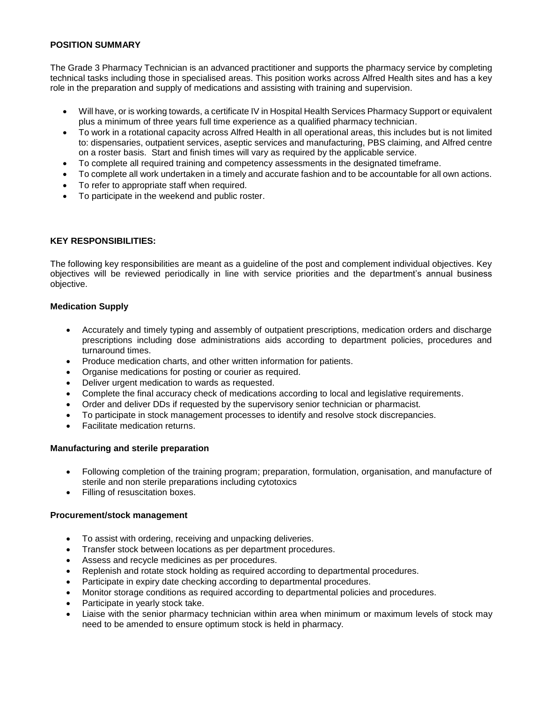## **POSITION SUMMARY**

The Grade 3 Pharmacy Technician is an advanced practitioner and supports the pharmacy service by completing technical tasks including those in specialised areas. This position works across Alfred Health sites and has a key role in the preparation and supply of medications and assisting with training and supervision.

- Will have, or is working towards, a certificate IV in Hospital Health Services Pharmacy Support or equivalent plus a minimum of three years full time experience as a qualified pharmacy technician.
- To work in a rotational capacity across Alfred Health in all operational areas, this includes but is not limited to: dispensaries, outpatient services, aseptic services and manufacturing, PBS claiming, and Alfred centre on a roster basis. Start and finish times will vary as required by the applicable service.
- To complete all required training and competency assessments in the designated timeframe.
- To complete all work undertaken in a timely and accurate fashion and to be accountable for all own actions.
- To refer to appropriate staff when required.
- To participate in the weekend and public roster.

### **KEY RESPONSIBILITIES:**

The following key responsibilities are meant as a guideline of the post and complement individual objectives. Key objectives will be reviewed periodically in line with service priorities and the department's annual business objective.

### **Medication Supply**

- Accurately and timely typing and assembly of outpatient prescriptions, medication orders and discharge prescriptions including dose administrations aids according to department policies, procedures and turnaround times.
- Produce medication charts, and other written information for patients.
- Organise medications for posting or courier as required.
- Deliver urgent medication to wards as requested.
- Complete the final accuracy check of medications according to local and legislative requirements.
- Order and deliver DDs if requested by the supervisory senior technician or pharmacist.
- To participate in stock management processes to identify and resolve stock discrepancies.
- Facilitate medication returns.

## **Manufacturing and sterile preparation**

- Following completion of the training program; preparation, formulation, organisation, and manufacture of sterile and non sterile preparations including cytotoxics
- Filling of resuscitation boxes.

### **Procurement/stock management**

- To assist with ordering, receiving and unpacking deliveries.
- Transfer stock between locations as per department procedures.
- Assess and recycle medicines as per procedures.
- Replenish and rotate stock holding as required according to departmental procedures.
- Participate in expiry date checking according to departmental procedures.
- Monitor storage conditions as required according to departmental policies and procedures.
- Participate in yearly stock take.
- Liaise with the senior pharmacy technician within area when minimum or maximum levels of stock may need to be amended to ensure optimum stock is held in pharmacy.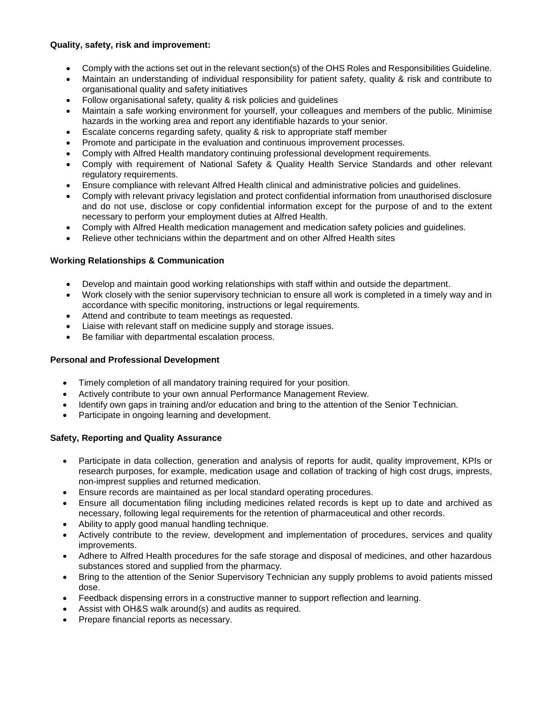## **Quality, safety, risk and improvement:**

- Comply with the actions set out in the relevant section(s) of the OHS Roles and Responsibilities Guideline.
- Maintain an understanding of individual responsibility for patient safety, quality & risk and contribute to organisational quality and safety initiatives
- Follow organisational safety, quality & risk policies and guidelines
- Maintain a safe working environment for yourself, your colleagues and members of the public. Minimise hazards in the working area and report any identifiable hazards to your senior.
- Escalate concerns regarding safety, quality & risk to appropriate staff member
- Promote and participate in the evaluation and continuous improvement processes.
- Comply with Alfred Health mandatory continuing professional development requirements.
- Comply with requirement of National Safety & Quality Health Service Standards and other relevant regulatory requirements.
- Ensure compliance with relevant Alfred Health clinical and administrative policies and guidelines.
- Comply with relevant privacy legislation and protect confidential information from unauthorised disclosure and do not use, disclose or copy confidential information except for the purpose of and to the extent necessary to perform your employment duties at Alfred Health.
- Comply with Alfred Health medication management and medication safety policies and guidelines.
- Relieve other technicians within the department and on other Alfred Health sites

# **Working Relationships & Communication**

- Develop and maintain good working relationships with staff within and outside the department.
- Work closely with the senior supervisory technician to ensure all work is completed in a timely way and in accordance with specific monitoring, instructions or legal requirements.
- Attend and contribute to team meetings as requested.
- Liaise with relevant staff on medicine supply and storage issues.
- Be familiar with departmental escalation process.

# **Personal and Professional Development**

- Timely completion of all mandatory training required for your position.
- Actively contribute to your own annual Performance Management Review.
- Identify own gaps in training and/or education and bring to the attention of the Senior Technician.
- Participate in ongoing learning and development.

# **Safety, Reporting and Quality Assurance**

- Participate in data collection, generation and analysis of reports for audit, quality improvement, KPIs or research purposes, for example, medication usage and collation of tracking of high cost drugs, imprests, non-imprest supplies and returned medication.
- Ensure records are maintained as per local standard operating procedures.
- Ensure all documentation filing including medicines related records is kept up to date and archived as necessary, following legal requirements for the retention of pharmaceutical and other records.
- Ability to apply good manual handling technique.
- Actively contribute to the review, development and implementation of procedures, services and quality improvements.
- Adhere to Alfred Health procedures for the safe storage and disposal of medicines, and other hazardous substances stored and supplied from the pharmacy.
- Bring to the attention of the Senior Supervisory Technician any supply problems to avoid patients missed dose.
- Feedback dispensing errors in a constructive manner to support reflection and learning.
- Assist with OH&S walk around(s) and audits as required.
- Prepare financial reports as necessary.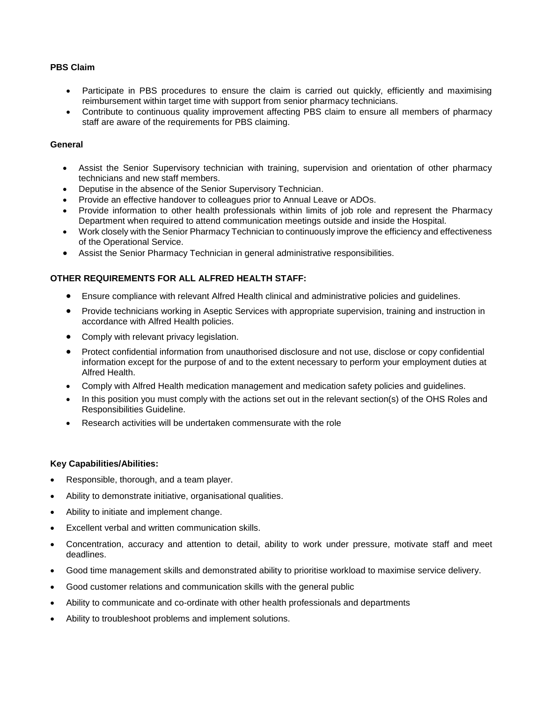## **PBS Claim**

- Participate in PBS procedures to ensure the claim is carried out quickly, efficiently and maximising reimbursement within target time with support from senior pharmacy technicians.
- Contribute to continuous quality improvement affecting PBS claim to ensure all members of pharmacy staff are aware of the requirements for PBS claiming.

### **General**

- Assist the Senior Supervisory technician with training, supervision and orientation of other pharmacy technicians and new staff members.
- Deputise in the absence of the Senior Supervisory Technician.
- Provide an effective handover to colleagues prior to Annual Leave or ADOs.
- Provide information to other health professionals within limits of job role and represent the Pharmacy Department when required to attend communication meetings outside and inside the Hospital.
- Work closely with the Senior Pharmacy Technician to continuously improve the efficiency and effectiveness of the Operational Service.
- Assist the Senior Pharmacy Technician in general administrative responsibilities.

### **OTHER REQUIREMENTS FOR ALL ALFRED HEALTH STAFF:**

- Ensure compliance with relevant Alfred Health clinical and administrative policies and guidelines.
- Provide technicians working in Aseptic Services with appropriate supervision, training and instruction in accordance with Alfred Health policies.
- Comply with relevant privacy legislation.
- Protect confidential information from unauthorised disclosure and not use, disclose or copy confidential information except for the purpose of and to the extent necessary to perform your employment duties at Alfred Health.
- Comply with Alfred Health medication management and medication safety policies and guidelines.
- In this position you must comply with the actions set out in the relevant section(s) of the OHS Roles and Responsibilities Guideline.
- Research activities will be undertaken commensurate with the role

### **Key Capabilities/Abilities:**

- Responsible, thorough, and a team player.
- Ability to demonstrate initiative, organisational qualities.
- Ability to initiate and implement change.
- Excellent verbal and written communication skills.
- Concentration, accuracy and attention to detail, ability to work under pressure, motivate staff and meet deadlines.
- Good time management skills and demonstrated ability to prioritise workload to maximise service delivery.
- Good customer relations and communication skills with the general public
- Ability to communicate and co-ordinate with other health professionals and departments
- Ability to troubleshoot problems and implement solutions.